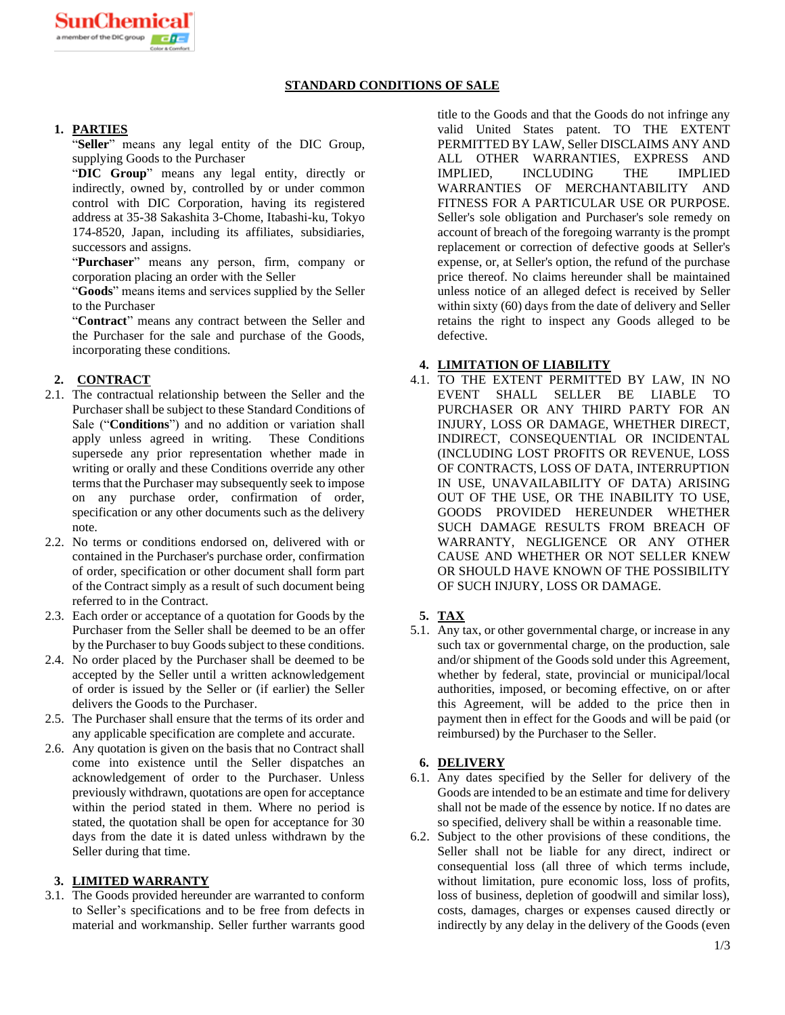# **STANDARD CONDITIONS OF SALE**

# **1. PARTIES**

"**Seller**" means any legal entity of the DIC Group, supplying Goods to the Purchaser

"**DIC Group**" means any legal entity, directly or indirectly, owned by, controlled by or under common control with DIC Corporation, having its registered address at 35-38 Sakashita 3-Chome, Itabashi-ku, Tokyo 174-8520, Japan, including its affiliates, subsidiaries, successors and assigns.

"**Purchaser**" means any person, firm, company or corporation placing an order with the Seller

"**Goods**" means items and services supplied by the Seller to the Purchaser

"**Contract**" means any contract between the Seller and the Purchaser for the sale and purchase of the Goods, incorporating these conditions.

# **2. CONTRACT**

- 2.1. The contractual relationship between the Seller and the Purchaser shall be subject to these Standard Conditions of Sale ("**Conditions**") and no addition or variation shall apply unless agreed in writing. These Conditions supersede any prior representation whether made in writing or orally and these Conditions override any other terms that the Purchaser may subsequently seek to impose on any purchase order, confirmation of order, specification or any other documents such as the delivery note.
- 2.2. No terms or conditions endorsed on, delivered with or contained in the Purchaser's purchase order, confirmation of order, specification or other document shall form part of the Contract simply as a result of such document being referred to in the Contract.
- 2.3. Each order or acceptance of a quotation for Goods by the Purchaser from the Seller shall be deemed to be an offer by the Purchaser to buy Goods subject to these conditions.
- 2.4. No order placed by the Purchaser shall be deemed to be accepted by the Seller until a written acknowledgement of order is issued by the Seller or (if earlier) the Seller delivers the Goods to the Purchaser.
- 2.5. The Purchaser shall ensure that the terms of its order and any applicable specification are complete and accurate.
- 2.6. Any quotation is given on the basis that no Contract shall come into existence until the Seller dispatches an acknowledgement of order to the Purchaser. Unless previously withdrawn, quotations are open for acceptance within the period stated in them. Where no period is stated, the quotation shall be open for acceptance for 30 days from the date it is dated unless withdrawn by the Seller during that time.

## **3. LIMITED WARRANTY**

3.1. The Goods provided hereunder are warranted to conform to Seller's specifications and to be free from defects in material and workmanship. Seller further warrants good

title to the Goods and that the Goods do not infringe any valid United States patent. TO THE EXTENT PERMITTED BY LAW, Seller DISCLAIMS ANY AND ALL OTHER WARRANTIES, EXPRESS AND IMPLIED, INCLUDING THE IMPLIED WARRANTIES OF MERCHANTABILITY AND FITNESS FOR A PARTICULAR USE OR PURPOSE. Seller's sole obligation and Purchaser's sole remedy on account of breach of the foregoing warranty is the prompt replacement or correction of defective goods at Seller's expense, or, at Seller's option, the refund of the purchase price thereof. No claims hereunder shall be maintained unless notice of an alleged defect is received by Seller within sixty (60) days from the date of delivery and Seller retains the right to inspect any Goods alleged to be defective.

### **4. LIMITATION OF LIABILITY**

4.1. TO THE EXTENT PERMITTED BY LAW, IN NO EVENT SHALL SELLER BE LIABLE TO PURCHASER OR ANY THIRD PARTY FOR AN INJURY, LOSS OR DAMAGE, WHETHER DIRECT, INDIRECT, CONSEQUENTIAL OR INCIDENTAL (INCLUDING LOST PROFITS OR REVENUE, LOSS OF CONTRACTS, LOSS OF DATA, INTERRUPTION IN USE, UNAVAILABILITY OF DATA) ARISING OUT OF THE USE, OR THE INABILITY TO USE, GOODS PROVIDED HEREUNDER WHETHER SUCH DAMAGE RESULTS FROM BREACH OF WARRANTY, NEGLIGENCE OR ANY OTHER CAUSE AND WHETHER OR NOT SELLER KNEW OR SHOULD HAVE KNOWN OF THE POSSIBILITY OF SUCH INJURY, LOSS OR DAMAGE.

### **5. TAX**

5.1. Any tax, or other governmental charge, or increase in any such tax or governmental charge, on the production, sale and/or shipment of the Goods sold under this Agreement, whether by federal, state, provincial or municipal/local authorities, imposed, or becoming effective, on or after this Agreement, will be added to the price then in payment then in effect for the Goods and will be paid (or reimbursed) by the Purchaser to the Seller.

### **6. DELIVERY**

- 6.1. Any dates specified by the Seller for delivery of the Goods are intended to be an estimate and time for delivery shall not be made of the essence by notice. If no dates are so specified, delivery shall be within a reasonable time.
- 6.2. Subject to the other provisions of these conditions, the Seller shall not be liable for any direct, indirect or consequential loss (all three of which terms include, without limitation, pure economic loss, loss of profits, loss of business, depletion of goodwill and similar loss), costs, damages, charges or expenses caused directly or indirectly by any delay in the delivery of the Goods (even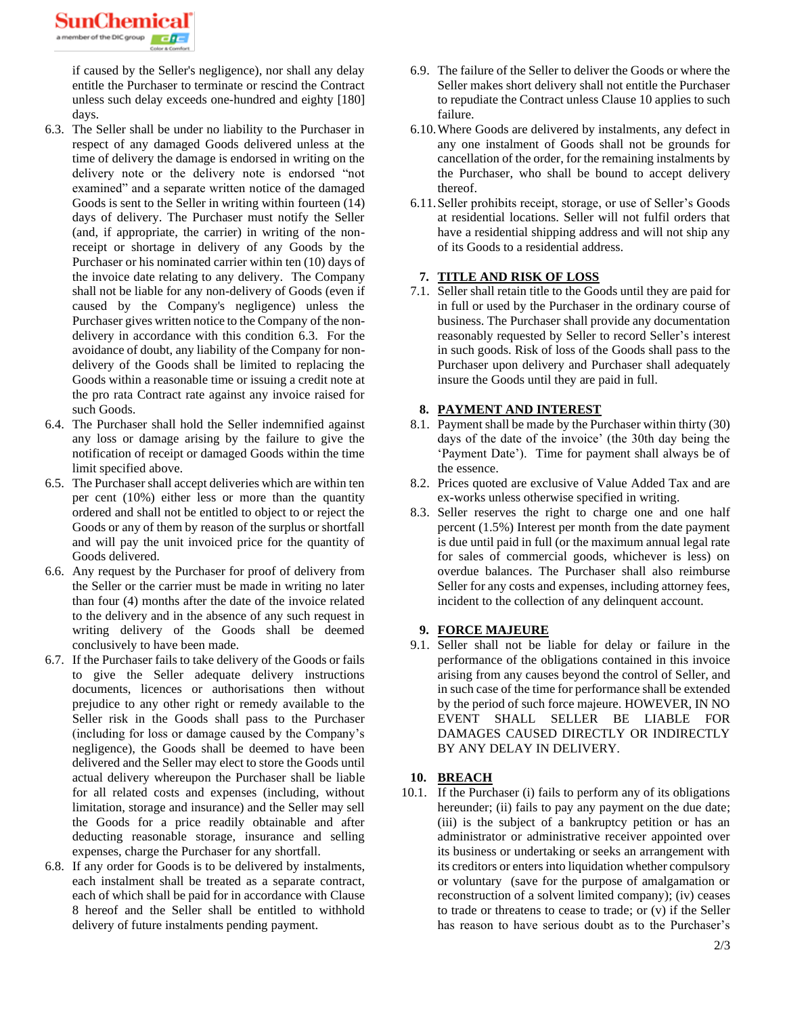SunChemic a member of the DIC gr

> if caused by the Seller's negligence), nor shall any delay entitle the Purchaser to terminate or rescind the Contract unless such delay exceeds one-hundred and eighty [180] days.

- 6.3. The Seller shall be under no liability to the Purchaser in respect of any damaged Goods delivered unless at the time of delivery the damage is endorsed in writing on the delivery note or the delivery note is endorsed "not examined" and a separate written notice of the damaged Goods is sent to the Seller in writing within fourteen (14) days of delivery. The Purchaser must notify the Seller (and, if appropriate, the carrier) in writing of the nonreceipt or shortage in delivery of any Goods by the Purchaser or his nominated carrier within ten (10) days of the invoice date relating to any delivery. The Company shall not be liable for any non-delivery of Goods (even if caused by the Company's negligence) unless the Purchaser gives written notice to the Company of the nondelivery in accordance with this condition 6.3. For the avoidance of doubt, any liability of the Company for nondelivery of the Goods shall be limited to replacing the Goods within a reasonable time or issuing a credit note at the pro rata Contract rate against any invoice raised for such Goods.
- 6.4. The Purchaser shall hold the Seller indemnified against any loss or damage arising by the failure to give the notification of receipt or damaged Goods within the time limit specified above.
- 6.5. The Purchaser shall accept deliveries which are within ten per cent (10%) either less or more than the quantity ordered and shall not be entitled to object to or reject the Goods or any of them by reason of the surplus or shortfall and will pay the unit invoiced price for the quantity of Goods delivered.
- 6.6. Any request by the Purchaser for proof of delivery from the Seller or the carrier must be made in writing no later than four (4) months after the date of the invoice related to the delivery and in the absence of any such request in writing delivery of the Goods shall be deemed conclusively to have been made.
- 6.7. If the Purchaser fails to take delivery of the Goods or fails to give the Seller adequate delivery instructions documents, licences or authorisations then without prejudice to any other right or remedy available to the Seller risk in the Goods shall pass to the Purchaser (including for loss or damage caused by the Company's negligence), the Goods shall be deemed to have been delivered and the Seller may elect to store the Goods until actual delivery whereupon the Purchaser shall be liable for all related costs and expenses (including, without limitation, storage and insurance) and the Seller may sell the Goods for a price readily obtainable and after deducting reasonable storage, insurance and selling expenses, charge the Purchaser for any shortfall.
- 6.8. If any order for Goods is to be delivered by instalments, each instalment shall be treated as a separate contract, each of which shall be paid for in accordance with Clause 8 hereof and the Seller shall be entitled to withhold delivery of future instalments pending payment.
- 6.9. The failure of the Seller to deliver the Goods or where the Seller makes short delivery shall not entitle the Purchaser to repudiate the Contract unless Clause 10 applies to such failure.
- 6.10.Where Goods are delivered by instalments, any defect in any one instalment of Goods shall not be grounds for cancellation of the order, for the remaining instalments by the Purchaser, who shall be bound to accept delivery thereof.
- 6.11.Seller prohibits receipt, storage, or use of Seller's Goods at residential locations. Seller will not fulfil orders that have a residential shipping address and will not ship any of its Goods to a residential address.

## **7. TITLE AND RISK OF LOSS**

7.1. Seller shall retain title to the Goods until they are paid for in full or used by the Purchaser in the ordinary course of business. The Purchaser shall provide any documentation reasonably requested by Seller to record Seller's interest in such goods. Risk of loss of the Goods shall pass to the Purchaser upon delivery and Purchaser shall adequately insure the Goods until they are paid in full.

## **8. PAYMENT AND INTEREST**

- 8.1. Payment shall be made by the Purchaser within thirty (30) days of the date of the invoice' (the 30th day being the 'Payment Date'). Time for payment shall always be of the essence.
- 8.2. Prices quoted are exclusive of Value Added Tax and are ex-works unless otherwise specified in writing.
- 8.3. Seller reserves the right to charge one and one half percent (1.5%) Interest per month from the date payment is due until paid in full (or the maximum annual legal rate for sales of commercial goods, whichever is less) on overdue balances. The Purchaser shall also reimburse Seller for any costs and expenses, including attorney fees, incident to the collection of any delinquent account.

# **9. FORCE MAJEURE**

9.1. Seller shall not be liable for delay or failure in the performance of the obligations contained in this invoice arising from any causes beyond the control of Seller, and in such case of the time for performance shall be extended by the period of such force majeure. HOWEVER, IN NO EVENT SHALL SELLER BE LIABLE FOR DAMAGES CAUSED DIRECTLY OR INDIRECTLY BY ANY DELAY IN DELIVERY.

### **10. BREACH**

10.1. If the Purchaser (i) fails to perform any of its obligations hereunder; (ii) fails to pay any payment on the due date; (iii) is the subject of a bankruptcy petition or has an administrator or administrative receiver appointed over its business or undertaking or seeks an arrangement with its creditors or enters into liquidation whether compulsory or voluntary (save for the purpose of amalgamation or reconstruction of a solvent limited company); (iv) ceases to trade or threatens to cease to trade; or (v) if the Seller has reason to have serious doubt as to the Purchaser's